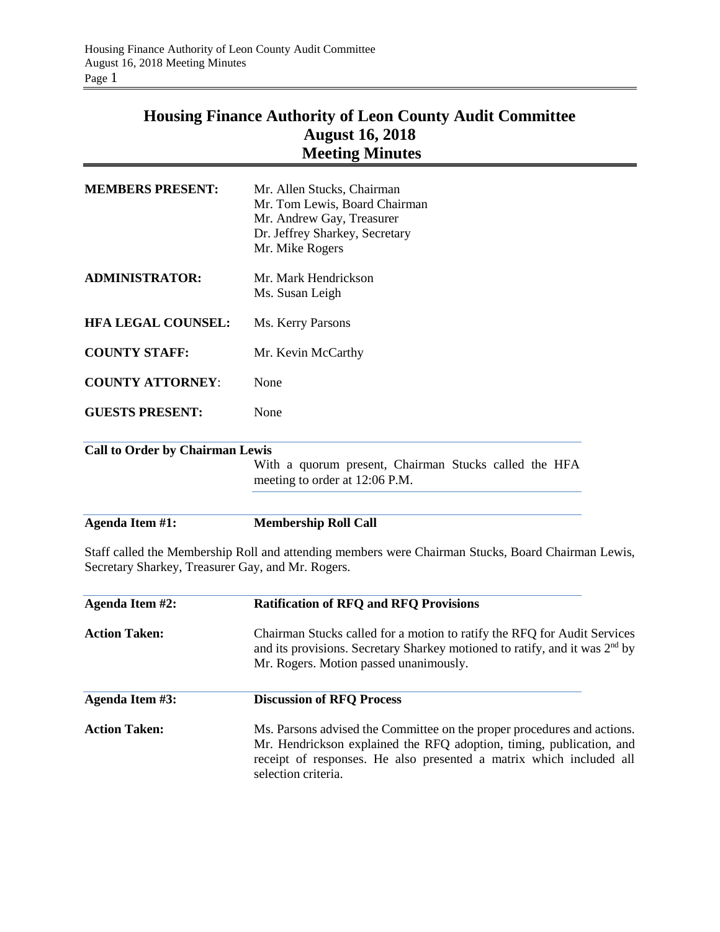## **Housing Finance Authority of Leon County Audit Committee August 16, 2018 Meeting Minutes**

| <b>MEMBERS PRESENT:</b>                | Mr. Allen Stucks, Chairman<br>Mr. Tom Lewis, Board Chairman<br>Mr. Andrew Gay, Treasurer<br>Dr. Jeffrey Sharkey, Secretary<br>Mr. Mike Rogers |
|----------------------------------------|-----------------------------------------------------------------------------------------------------------------------------------------------|
| <b>ADMINISTRATOR:</b>                  | Mr. Mark Hendrickson<br>Ms. Susan Leigh                                                                                                       |
| <b>HFA LEGAL COUNSEL:</b>              | Ms. Kerry Parsons                                                                                                                             |
| <b>COUNTY STAFF:</b>                   | Mr. Kevin McCarthy                                                                                                                            |
| <b>COUNTY ATTORNEY:</b>                | None                                                                                                                                          |
| <b>GUESTS PRESENT:</b>                 | None                                                                                                                                          |
| <b>Call to Order by Chairman Lewis</b> |                                                                                                                                               |
|                                        | With a quorum present, Chairman Stucks called the HFA<br>meeting to order at 12:06 P.M.                                                       |
| <b>Agenda Item #1:</b>                 | <b>Membership Roll Call</b>                                                                                                                   |

Staff called the Membership Roll and attending members were Chairman Stucks, Board Chairman Lewis, Secretary Sharkey, Treasurer Gay, and Mr. Rogers.

| Agenda Item #2:      | <b>Ratification of RFQ and RFQ Provisions</b>                                                                                                                                                                                                 |
|----------------------|-----------------------------------------------------------------------------------------------------------------------------------------------------------------------------------------------------------------------------------------------|
| <b>Action Taken:</b> | Chairman Stucks called for a motion to ratify the RFQ for Audit Services<br>and its provisions. Secretary Sharkey motioned to ratify, and it was 2 <sup>nd</sup> by<br>Mr. Rogers. Motion passed unanimously.                                 |
| Agenda Item #3:      | <b>Discussion of RFO Process</b>                                                                                                                                                                                                              |
| <b>Action Taken:</b> | Ms. Parsons advised the Committee on the proper procedures and actions.<br>Mr. Hendrickson explained the RFQ adoption, timing, publication, and<br>receipt of responses. He also presented a matrix which included all<br>selection criteria. |